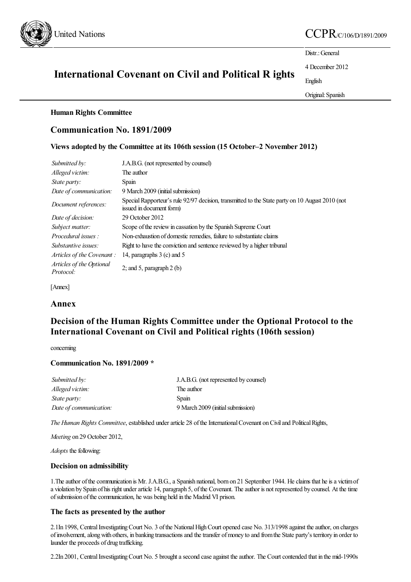

# United Nations  $CCPR_{CC/106/D/1891/2009}$

Distr.: General

4 December 2012

English

Original:Spanish

# International Covenant on Civil and Political R ights

### Human Rights Committee

# Communication No. 1891/2009

# Views adopted by the Committee at its 106th session (15 October–2 November 2012)

| Submitted by:                         | J.A.B.G. (not represented by counsel)                                                                                       |
|---------------------------------------|-----------------------------------------------------------------------------------------------------------------------------|
| Alleged victim:                       | The author                                                                                                                  |
| <i>State party:</i>                   | <b>Spain</b>                                                                                                                |
| Date of communication:                | 9 March 2009 (initial submission)                                                                                           |
| Document references:                  | Special Rapporteur's rule 92/97 decision, transmitted to the State party on 10 August 2010 (not<br>issued in document form) |
| Date of decision:                     | 29 October 2012                                                                                                             |
| Subject matter:                       | Scope of the review in cassation by the Spanish Supreme Court                                                               |
| Procedural issues:                    | Non-exhaustion of domestic remedies, failure to substantiate claims                                                         |
| <i>Substantive issues:</i>            | Right to have the conviction and sentence reviewed by a higher tribunal                                                     |
| Articles of the Covenant:             | 14, paragraphs 3 (c) and 5                                                                                                  |
| Articles of the Optional<br>Protocol: | 2; and 5, paragraph 2 (b)                                                                                                   |

[Annex]

## Annex

# Decision of the Human Rights Committee under the Optional Protocol to the International Covenant on Civil and Political rights (106th session)

concerning

## Communication No. 1891/2009 \*

| Submitted by:          | J.A.B.G. (not represented by counsel) |
|------------------------|---------------------------------------|
| Alleged victim:        | The author                            |
| <i>State party:</i>    | Spain                                 |
| Date of communication: | 9 March 2009 (initial submission)     |

*The Human Rights Committee*, established under article 28 of the International Covenant on Civil and Political Rights,

*Meeting* on 29 October 2012,

*Adopts* the following:

#### Decision on admissibility

1. The author of the communication is Mr. J.A.B.G., a Spanish national, born on 21 September 1944. He claims that he is a victim of a violation by Spain of his right under article 14, paragraph 5, of the Covenant. The author is not represented by counsel. At the time of submission of the communication, he was being held in the Madrid VI prison.

#### The facts as presented by the author

2.1In 1998, Central Investigating Court No. 3 of the National High Court opened case No. 313/1998 against the author, on charges of involvement, along with others, in banking transactions and the transfer of money to and from the State party's territory in order to launder the proceeds of drug trafficking.

2.2In 2001, Central Investigating Court No. 5 brought a second case against the author. The Court contended that in the mid-1990s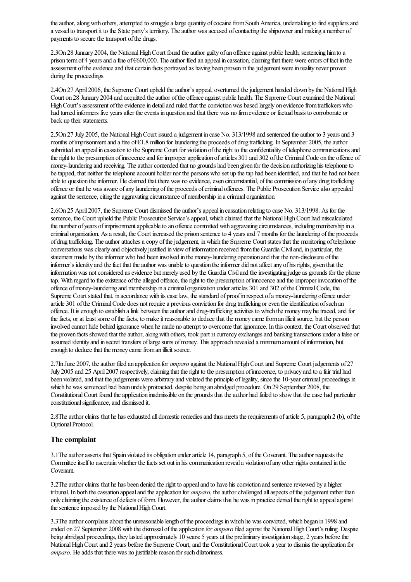the author, along with others, attempted to smuggle a large quantity of cocaine from South America, undertaking to find suppliers and a vessel to transport it to the State party's territory. The author was accused of contacting the shipowner and making a number of payments to secure the transport of the drugs.

2.3On 28 January 2004, the National High Court found the author guilty of an offence against public health, sentencing him to a prison term of 4 years and a fine of  $\epsilon$ 600,000. The author filed an appeal in cassation, claiming that there were errors of fact in the assessment of the evidence and that certain facts portrayed as having been proven in the judgement were in reality never proven during the proceedings.

2.4On 27 April 2006, the Supreme Court upheld the author's appeal, overturned the judgement handed down by the National High Court on 28 January 2004 and acquitted the author of the offence against public health. The Supreme Court examined the National High Court's assessment of the evidence in detail and ruled that the conviction was based largely on evidence from traffickers who had turned informers five years after the events in question and that there was no firm evidence or factual basis to corroborate or back up their statements.

2.5On 27 July 2005, the National High Court issued a judgement in case No. 313/1998 and sentenced the author to 3 years and 3 months of imprisonment and a fine of €1.8 million for laundering the proceeds of drug trafficking. In September 2005, the author submitted an appeal in cassation to the Supreme Court for violation of the right to the confidentiality of telephone communications and the right to the presumption of innocence and for improper application of articles 301 and 302 of the Criminal Code on the offence of money-laundering and receiving. The author contended that no grounds had been given for the decision authorizing his telephone to be tapped, that neither the telephone account holder nor the persons who set up the tap had been identified, and that he had not been able to question the informer. He claimed that there was no evidence, even circumstantial, of the commission of any drug trafficking offence or that he wasaware ofany laundering ofthe proceeds ofcriminal offences. The Public Prosecution Servicealso appealed against the sentence, citing the aggravating circumstance of membership in a criminal organization.

2.6On 25 April 2007, the Supreme Court dismissed the author's appeal in cassation relating to case No. 313/1998. As for the sentence, the Court upheld the Public Prosecution Service's appeal, which claimed that the National High Court had miscalculated the number of years of imprisonment applicable to an offence committed with aggravating circumstances, including membership in a criminal organization. As a result, the Court increased the prison sentence to 4 years and 7 months for the laundering of the proceeds of drug trafficking. The author attaches a copy of the judgement, in which the Supreme Court states that the monitoring of telephone conversations wasclearly and objectively justified in viewofinformation received fromthe Guardia Civiland, in particular, the statement made by the informer who had been involved in the money-laundering operation and that the non-disclosure of the informer's identity and the fact that the author was unable to question the informer did not affect any of his rights, given that the information was not considered as evidence but merely used by the Guardia Civil and the investigating judge as grounds for the phone tap. With regard to the existence of the alleged offence, the right to the presumption of innocence and the improper invocation of the offence ofmoney-laundering and membership in acriminal organization underarticles 301 and 302 ofthe CriminalCode, the Supreme Court stated that, in accordance with its case law, the standard of proof in respect of a money-laundering offence under article 301 of the Criminal Code does not require a previous conviction for drug trafficking or even the identification of such an offence. It isenough to establish alink between theauthorand drug-trafficking activities to which the moneymay betraced,and for the facts, or at least some of the facts, to make it reasonable to deduce that the money came from an illicit source, but the person involved cannot hide behind ignorance when he made no attempt to overcomethat ignorance. In thiscontext, the Court observed that the proven facts showed that the author, along with others, took part in currency exchanges and banking transactions under a false or assumed identity and in secret transfers of large sums of money. This approach revealed a minimum amount of information, but enough to deduce that the money came from an illicit source.

2.7In June 2007, the author filed an application for *amparo* against the National High Court and Supreme Court judgements of 27 July 2005 and 25 April 2007 respectively, claiming that the right to the presumption of innocence, to privacy and to a fair trial had been violated, and that the judgements were arbitrary and violated the principle of legality, since the 10-year criminal proceedings in which he was sentenced had been unduly protracted, despite being an abridged procedure. On 29 September 2008, the Constitutional Court found the application inadmissible on the grounds that the author had failed to show that the case had particular constitutional significance, and dismissed it.

2.8The author claims that he has exhausted all domestic remedies and thus meets the requirements of article 5, paragraph 2 (b), of the Optional Protocol.

#### The complaint

3.1The author asserts that Spain violated its obligation under article 14, paragraph 5, of the Covenant. The author requests the Committee itself to ascertain whether the facts set out in his communication reveal a violation of any other rights contained in the Covenant.

3.2The author claims that he has been denied the right to appeal and to have his conviction and sentence reviewed by a higher tribunal. In both the cassation appeal and the application for *amparo*, the author challenged all aspects of the judgement rather than only claiming theexistence of defects ofform. However, theauthorclaims that he was in practice denied theright to appealagainst the sentence imposed by the National High Court.

3.3The author complains about the unreasonable length of the proceedings in which he was convicted, which began in 1998 and ended on 27 September 2008 with the dismissal of the application for *amparo* filed against the National High Court's ruling. Despite being abridged proceedings, they lasted approximately 10 years: 5 years at the preliminary investigation stage, 2 years before the National High Court and 2 years before the Supreme Court, and the Constitutional Court took a year to dismiss the application for *amparo*. He adds that there was no justifiable reason for such dilatoriness.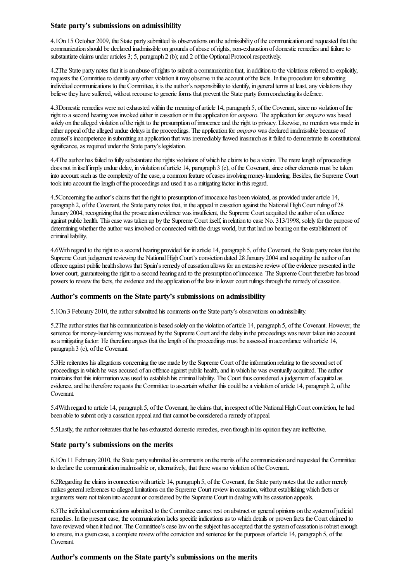#### State party's submissions on admissibility

4.1On 15 October 2009, the State party submitted its observations on the admissibility of the communication and requested that the communication should be declared inadmissible on grounds of abuse of rights, non-exhaustion of domestic remedies and failure to substantiate claims under articles 3; 5, paragraph 2 (b); and 2 of the Optional Protocol respectively.

4.2The State party notes that it isan abuse ofrights to submitacommunication that, in addition to the violations referred to explicitly, requests the Committee to identify any other violation it may observe in the account of the facts. In the procedure for submitting individual communications to the Committee, it is the author's responsibility to identify, in general terms at least, any violations they believe they have suffered, without recourse to generic forms that prevent the State party from conducting its defence.

4.3Domestic remedies were not exhausted within the meaning of article 14, paragraph 5, of the Covenant, since no violation of the right to a second hearing was invoked either in cassation or in the application for *amparo*. The application for *amparo* was based solely on the alleged violation of the right to the presumption of innocence and the right to privacy. Likewise, no mention was made in either appeal of the alleged undue delays in the proceedings. The application for *amparo* was declared inadmissible because of counsel's incompetence in submitting an application that was irremediably flawed inasmuch as it failed to demonstrate its constitutional significance, as required under the State party's legislation.

4.4The author has failed to fully substantiate the rights violations of which he claims to be a victim. The mere length of proceedings does not in itself imply undue delay, in violation of article 14, paragraph 3 (c), of the Covenant, since other elements must be taken into account such as the complexity of the case, a common feature of cases involving money-laundering. Besides, the Supreme Court took into account the length of the proceedings and used it as a mitigating factor in this regard.

4.5Concerning the author's claims that the right to presumption of innocence has been violated, as provided under article 14, paragraph 2, of the Covenant, the State party notes that, in the appeal in cassation against the National High Court ruling of 28 January 2004, recognizing that the prosecution evidence was insufficient, the Supreme Courtacquitted theauthor ofan offence against public health. Thiscase was taken up by the Supreme Court itself, in relation to case No. 313/1998, solely for the purpose of determining whether the author was involved or connected with the drugs world, but that had no bearing on the establishment of criminal liability.

4.6With regard to theright to asecond hearing provided for in article 14, paragraph 5, ofthe Covenant, the State party notes that the Supreme Court judgement reviewing the National High Court's conviction dated 28 January 2004 and acquitting the author of an offence against public health shows that Spain's remedy of cassation allows for an extensive review of the evidence presented in the lower court, guaranteeing the right to a second hearing and to the presumption of innocence. The Supreme Court therefore has broad powers to review the facts, the evidence and the application of the law in lower court rulings through the remedy of cassation.

#### Author's comments on the State party's submissions on admissibility

5.1On 3 February 2010, the author submitted his comments on the State party's observations on admissibility.

5.2Theauthor states that hiscommunication is based solely on the violation ofarticle 14, paragraph 5, ofthe Covenant. However, the sentence for money-laundering was increased by the Supreme Court and the delay in the proceedings was never taken into account asa mitigating factor. Hethereforeargues that thelength ofthe proceedings must beassessed in accordance with article 14, paragraph 3 (c), of the Covenant.

5.3He reiterates his allegations concerning the use made by the Supreme Court of the information relating to the second set of proceedings in which he was accused of an offence against public health, and in which he was eventually acquitted. The author maintains that this information was used to establish his criminal liability. The Court thus considered a judgement of acquittal as evidence, and he therefore requests the Committee to ascertain whether this could be a violation of article 14, paragraph 2, of the Covenant.

5.4With regard to article 14, paragraph 5, ofthe Covenant, heclaims that, in respect ofthe NationalHighCourtconviction, he had been able to submit only a cassation appeal and that cannot be considered a remedy of appeal.

5.5Lastly, the author reiterates that he has exhausted domestic remedies, even though in his opinion they are ineffective.

#### State party's submissions on the merits

6.1On 11 February 2010, the State party submitted itscomments on the merits ofthecommunication and requested the Committee to declare the communication inadmissible or, alternatively, that there was no violation of the Covenant.

6.2Regarding the claims in connection with article 14, paragraph 5, of the Covenant, the State party notes that the author merely makes general references to alleged limitations on the Supreme Court review in cassation, without establishing which facts or arguments were not taken into account orconsidered by the Supreme Court in dealingwith hiscassation appeals.

6.3The individual communications submitted to the Committee cannot rest on abstract or general opinions on the system of judicial remedies. In the present case, the communication lacks specific indications as to which details or proven facts the Court claimed to have reviewed when it had not. The Committee's case law on the subject has accepted that the system of cassation is robust enough to ensure, in a given case, a complete review of the conviction and sentence for the purposes of article 14, paragraph 5, of the Covenant.

#### Author's comments on the State party's submissions on the merits